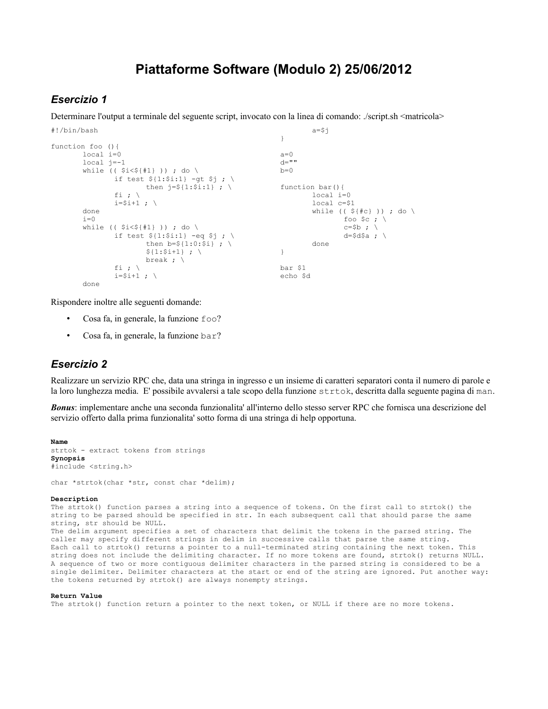# **Piattaforme Software (Modulo 2) 25/06/2012**

### *Esercizio 1*

Determinare l'output a terminale del seguente script, invocato con la linea di comando: ./script.sh <matricola>

```
#!/bin/bash
function foo (){
       local i=0
       local j=-1
       while (( $i<${#1} )) ; do \
               if test ${1:}$i:1} -gt $j ; \
                       then j = $1: $i:1 ; \
               fi ; \setminusi=$i+1; \
       done
       i=0while (( $i<${#1} )) ; do \
                if test $1:\i1} -eq $j ; \
                        then b = ${1:0:5i} ; \
                        ${1:5i+1} ; \
                       break ; \
               fi ; \setminusi=$i+1; \
       done
                                                                  a = $j}
                                                          a=0d=""
                                                          b=0function bar(){
                                                                  local i=0
                                                                  local c=$1
                                                                  while (( $f#c} )) ; do \
                                                                          foo $c ; \backslashc = $b ; \
                                                                          d=$d$a ; \
                                                                  done
                                                          }
                                                          bar $1
                                                          echo $d
```
Rispondere inoltre alle seguenti domande:

- Cosa fa, in generale, la funzione foo?
- Cosa fa, in generale, la funzione bar?

### *Esercizio 2*

Realizzare un servizio RPC che, data una stringa in ingresso e un insieme di caratteri separatori conta il numero di parole e la loro lunghezza media. E' possibile avvalersi a tale scopo della funzione strtok, descritta dalla seguente pagina di man.

*Bonus*: implementare anche una seconda funzionalita' all'interno dello stesso server RPC che fornisca una descrizione del servizio offerto dalla prima funzionalita' sotto forma di una stringa di help opportuna.

```
Name
strtok - extract tokens from strings 
Synopsis
#include <string.h>
```
char \*strtok(char \*str, const char \*delim);

### **Description**

The strtok() function parses a string into a sequence of tokens. On the first call to strtok() the string to be parsed should be specified in str. In each subsequent call that should parse the same string, str should be NULL.

The delim argument specifies a set of characters that delimit the tokens in the parsed string. The caller may specify different strings in delim in successive calls that parse the same string. Each call to strtok() returns a pointer to a null-terminated string containing the next token. This string does not include the delimiting character. If no more tokens are found, strtok() returns NULL. A sequence of two or more contiguous delimiter characters in the parsed string is considered to be a single delimiter. Delimiter characters at the start or end of the string are ignored. Put another way: the tokens returned by strtok() are always nonempty strings.

#### **Return Value**

The strtok() function return a pointer to the next token, or NULL if there are no more tokens.